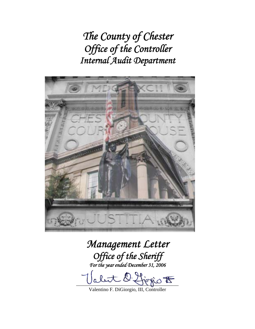*The County of Chester Office of the Controller Internal Audit Department* 



# *Management Letter Office of the Sheriff For the year ended December 31, 2006*  let O. first  $E$

Valentino F. DiGiorgio, III, Controller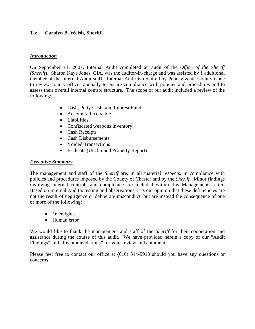# **To: Carolyn B. Welsh, Sheriff**

## *Introduction*

On September 11, 2007, Internal Audit completed an audit of the *Office of the Sheriff (Sheriff*). Sharon Kaye Jones, CIA, was the auditor-in-charge and was assisted by 1 additional member of the Internal Audit staff. Internal Audit is required by Pennsylvania County Code to review county offices annually to ensure compliance with policies and procedures and to assess their overall internal control structure. The scope of our audit included a review of the following:

- Cash, Petty Cash, and Imprest Fund
- Accounts Receivable
- Liabilities
- Confiscated weapons inventory
- Cash Receipts
- Cash Disbursements
- Voided Transactions
- Escheats (Unclaimed Property Report)

# *Executive Summary*

The management and staff of the *Sheriff* are, in all material respects, in compliance with policies and procedures imposed by the County of Chester and by the *Sheriff*. Minor findings involving internal controls and compliance are included within this Management Letter. Based on Internal Audit's testing and observations, it is our opinion that these deficiencies are not the result of negligence or deliberate misconduct, but are instead the consequence of one or more of the following:

- Oversights
- Human error

We would like to thank the management and staff of the *Sheriff* for their cooperation and assistance during the course of this audit. We have provided herein a copy of our "Audit Findings" and "Recommendations" for your review and comment.

Please feel free to contact our office at (610) 344-5913 should you have any questions or concerns.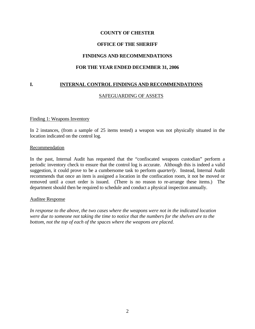## **COUNTY OF CHESTER**

## **OFFICE OF THE SHERIFF**

## **FINDINGS AND RECOMMENDATIONS**

### **FOR THE YEAR ENDED DECEMBER 31, 2006**

## **I. INTERNAL CONTROL FINDINGS AND RECOMMENDATIONS**

### SAFEGUARDING OF ASSETS

#### Finding 1: Weapons Inventory

In 2 instances, (from a sample of 25 items tested) a weapon was not physically situated in the location indicated on the control log.

#### Recommendation

In the past, Internal Audit has requested that the "confiscated weapons custodian" perform a periodic inventory check to ensure that the control log is accurate. Although this is indeed a valid suggestion, it could prove to be a cumbersome task to perform *quarterly*. Instead, Internal Audit recommends that once an item is assigned a location in the confiscation room, it not be moved or removed until a court order is issued. (There is no reason to re-arrange these items.) The department should then be required to schedule and conduct a physical inspection annually.

#### Auditee Response

*In response to the above, the two cases where the weapons were not in the indicated location were due to someone not taking the time to notice that the numbers for the shelves are to the bottom, not the top of each of the spaces where the weapons are placed.*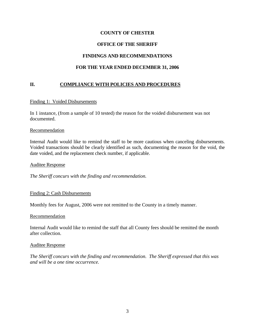# **COUNTY OF CHESTER**

# **OFFICE OF THE SHERIFF**

## **FINDINGS AND RECOMMENDATIONS**

## **FOR THE YEAR ENDED DECEMBER 31, 2006**

## **II. COMPLIANCE WITH POLICIES AND PROCEDURES**

#### Finding 1: Voided Disbursements

In 1 instance, (from a sample of 10 tested) the reason for the voided disbursement was not documented.

#### Recommendation

Internal Audit would like to remind the staff to be more cautious when canceling disbursements. Voided transactions should be clearly identified as such, documenting the reason for the void, the date voided, and the replacement check number, if applicable.

#### Auditee Response

*The Sheriff concurs with the finding and recommendation.* 

#### Finding 2: Cash Disbursements

Monthly fees for August, 2006 were not remitted to the County in a timely manner.

#### Recommendation

Internal Audit would like to remind the staff that all County fees should be remitted the month after collection.

#### Auditee Response

*The Sheriff concurs with the finding and recommendation. The Sheriff expressed that this was and will be a one time occurrence.*